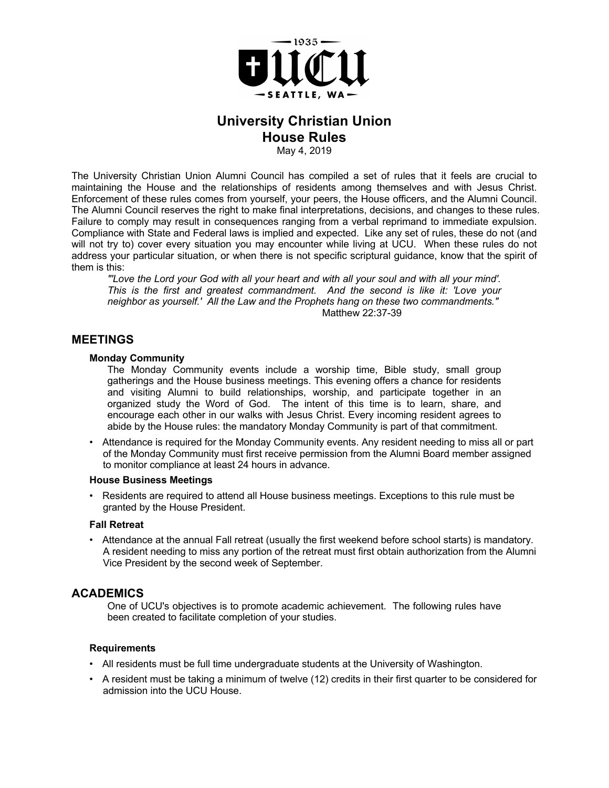

# **University Christian Union House Rules**

May 4, 2019

The University Christian Union Alumni Council has compiled a set of rules that it feels are crucial to maintaining the House and the relationships of residents among themselves and with Jesus Christ. Enforcement of these rules comes from yourself, your peers, the House officers, and the Alumni Council. The Alumni Council reserves the right to make final interpretations, decisions, and changes to these rules. Failure to comply may result in consequences ranging from a verbal reprimand to immediate expulsion. Compliance with State and Federal laws is implied and expected. Like any set of rules, these do not (and will not try to) cover every situation you may encounter while living at UCU. When these rules do not address your particular situation, or when there is not specific scriptural guidance, know that the spirit of them is this:

*"'Love the Lord your God with all your heart and with all your soul and with all your mind'. This is the first and greatest commandment. And the second is like it: 'Love your neighbor as yourself.' All the Law and the Prophets hang on these two commandments."* Matthew 22:37-39

### **MEETINGS**

#### **Monday Community**

The Monday Community events include a worship time, Bible study, small group gatherings and the House business meetings. This evening offers a chance for residents and visiting Alumni to build relationships, worship, and participate together in an organized study the Word of God. The intent of this time is to learn, share, and encourage each other in our walks with Jesus Christ. Every incoming resident agrees to abide by the House rules: the mandatory Monday Community is part of that commitment.

• Attendance is required for the Monday Community events. Any resident needing to miss all or part of the Monday Community must first receive permission from the Alumni Board member assigned to monitor compliance at least 24 hours in advance.

#### **House Business Meetings**

• Residents are required to attend all House business meetings. Exceptions to this rule must be granted by the House President.

#### **Fall Retreat**

• Attendance at the annual Fall retreat (usually the first weekend before school starts) is mandatory. A resident needing to miss any portion of the retreat must first obtain authorization from the Alumni Vice President by the second week of September.

### **ACADEMICS**

One of UCU's objectives is to promote academic achievement. The following rules have been created to facilitate completion of your studies.

#### **Requirements**

- All residents must be full time undergraduate students at the University of Washington.
- A resident must be taking a minimum of twelve (12) credits in their first quarter to be considered for admission into the UCU House.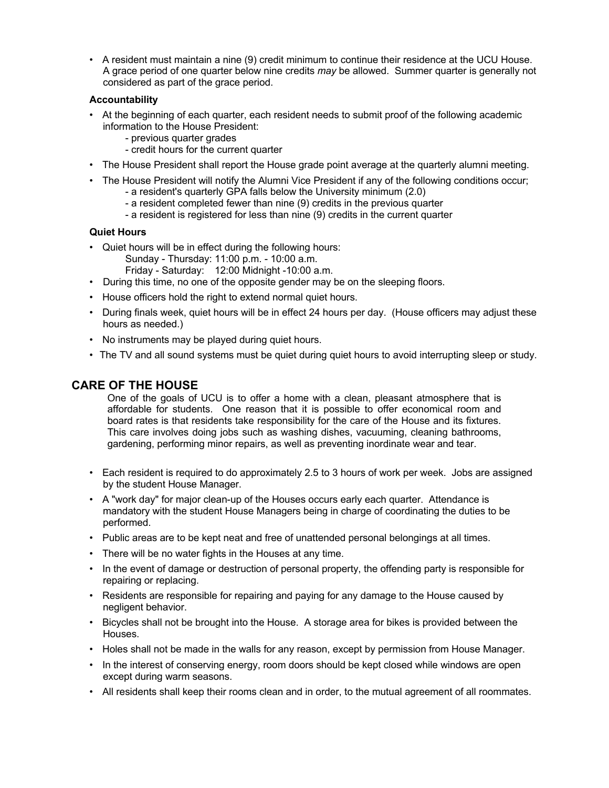• A resident must maintain a nine (9) credit minimum to continue their residence at the UCU House. A grace period of one quarter below nine credits *may* be allowed. Summer quarter is generally not considered as part of the grace period.

### **Accountability**

- At the beginning of each quarter, each resident needs to submit proof of the following academic information to the House President:
	- previous quarter grades
	- credit hours for the current quarter
- The House President shall report the House grade point average at the quarterly alumni meeting.
- The House President will notify the Alumni Vice President if any of the following conditions occur;
	- a resident's quarterly GPA falls below the University minimum (2.0)
	- a resident completed fewer than nine (9) credits in the previous quarter
	- a resident is registered for less than nine (9) credits in the current quarter

### **Quiet Hours**

- Quiet hours will be in effect during the following hours:
	- Sunday Thursday: 11:00 p.m. 10:00 a.m.
	- Friday Saturday: 12:00 Midnight -10:00 a.m.
- During this time, no one of the opposite gender may be on the sleeping floors.
- House officers hold the right to extend normal quiet hours.
- During finals week, quiet hours will be in effect 24 hours per day. (House officers may adjust these hours as needed.)
- No instruments may be played during quiet hours.
- The TV and all sound systems must be quiet during quiet hours to avoid interrupting sleep or study.

# **CARE OF THE HOUSE**

One of the goals of UCU is to offer a home with a clean, pleasant atmosphere that is affordable for students. One reason that it is possible to offer economical room and board rates is that residents take responsibility for the care of the House and its fixtures. This care involves doing jobs such as washing dishes, vacuuming, cleaning bathrooms, gardening, performing minor repairs, as well as preventing inordinate wear and tear.

- Each resident is required to do approximately 2.5 to 3 hours of work per week. Jobs are assigned by the student House Manager.
- A "work day" for major clean-up of the Houses occurs early each quarter. Attendance is mandatory with the student House Managers being in charge of coordinating the duties to be performed.
- Public areas are to be kept neat and free of unattended personal belongings at all times.
- There will be no water fights in the Houses at any time.
- In the event of damage or destruction of personal property, the offending party is responsible for repairing or replacing.
- Residents are responsible for repairing and paying for any damage to the House caused by negligent behavior.
- Bicycles shall not be brought into the House. A storage area for bikes is provided between the Houses.
- Holes shall not be made in the walls for any reason, except by permission from House Manager.
- In the interest of conserving energy, room doors should be kept closed while windows are open except during warm seasons.
- All residents shall keep their rooms clean and in order, to the mutual agreement of all roommates.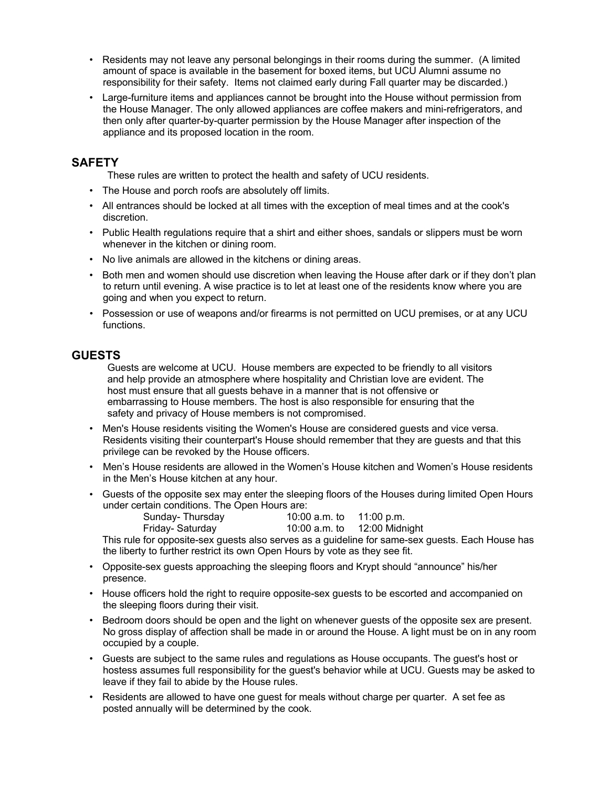- Residents may not leave any personal belongings in their rooms during the summer. (A limited amount of space is available in the basement for boxed items, but UCU Alumni assume no responsibility for their safety. Items not claimed early during Fall quarter may be discarded.)
- Large-furniture items and appliances cannot be brought into the House without permission from the House Manager. The only allowed appliances are coffee makers and mini-refrigerators, and then only after quarter-by-quarter permission by the House Manager after inspection of the appliance and its proposed location in the room.

# **SAFETY**

These rules are written to protect the health and safety of UCU residents.

- The House and porch roofs are absolutely off limits.
- All entrances should be locked at all times with the exception of meal times and at the cook's discretion.
- Public Health regulations require that a shirt and either shoes, sandals or slippers must be worn whenever in the kitchen or dining room.
- No live animals are allowed in the kitchens or dining areas.
- Both men and women should use discretion when leaving the House after dark or if they don't plan to return until evening. A wise practice is to let at least one of the residents know where you are going and when you expect to return.
- Possession or use of weapons and/or firearms is not permitted on UCU premises, or at any UCU functions.

# **GUESTS**

Guests are welcome at UCU. House members are expected to be friendly to all visitors and help provide an atmosphere where hospitality and Christian love are evident. The host must ensure that all guests behave in a manner that is not offensive or embarrassing to House members. The host is also responsible for ensuring that the safety and privacy of House members is not compromised.

- Men's House residents visiting the Women's House are considered guests and vice versa. Residents visiting their counterpart's House should remember that they are guests and that this privilege can be revoked by the House officers.
- Men's House residents are allowed in the Women's House kitchen and Women's House residents in the Men's House kitchen at any hour.
- Guests of the opposite sex may enter the sleeping floors of the Houses during limited Open Hours under certain conditions. The Open Hours are:

| Sunday-Thursday  |  | 10:00 a.m. to $11:00$ p.m.   |  |
|------------------|--|------------------------------|--|
| Friday- Saturday |  | 10:00 a.m. to 12:00 Midnight |  |
|                  |  |                              |  |

This rule for opposite-sex guests also serves as a guideline for same-sex guests. Each House has the liberty to further restrict its own Open Hours by vote as they see fit.

- Opposite-sex guests approaching the sleeping floors and Krypt should "announce" his/her presence.
- House officers hold the right to require opposite-sex guests to be escorted and accompanied on the sleeping floors during their visit.
- Bedroom doors should be open and the light on whenever guests of the opposite sex are present. No gross display of affection shall be made in or around the House. A light must be on in any room occupied by a couple.
- Guests are subject to the same rules and regulations as House occupants. The guest's host or hostess assumes full responsibility for the guest's behavior while at UCU. Guests may be asked to leave if they fail to abide by the House rules.
- Residents are allowed to have one guest for meals without charge per quarter. A set fee as posted annually will be determined by the cook.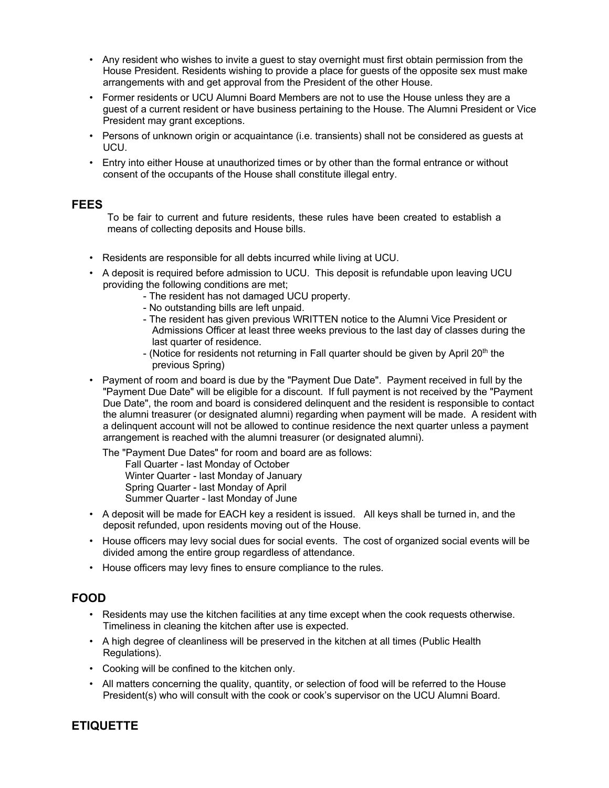- Any resident who wishes to invite a guest to stay overnight must first obtain permission from the House President. Residents wishing to provide a place for guests of the opposite sex must make arrangements with and get approval from the President of the other House.
- Former residents or UCU Alumni Board Members are not to use the House unless they are a guest of a current resident or have business pertaining to the House. The Alumni President or Vice President may grant exceptions.
- Persons of unknown origin or acquaintance (i.e. transients) shall not be considered as guests at UCU.
- Entry into either House at unauthorized times or by other than the formal entrance or without consent of the occupants of the House shall constitute illegal entry.

## **FEES**

To be fair to current and future residents, these rules have been created to establish a means of collecting deposits and House bills.

- Residents are responsible for all debts incurred while living at UCU.
- A deposit is required before admission to UCU. This deposit is refundable upon leaving UCU providing the following conditions are met;
	- The resident has not damaged UCU property.
	- No outstanding bills are left unpaid.
	- The resident has given previous WRITTEN notice to the Alumni Vice President or Admissions Officer at least three weeks previous to the last day of classes during the last quarter of residence.
	- (Notice for residents not returning in Fall quarter should be given by April  $20<sup>th</sup>$  the previous Spring)
- Payment of room and board is due by the "Payment Due Date". Payment received in full by the "Payment Due Date" will be eligible for a discount. If full payment is not received by the "Payment Due Date", the room and board is considered delinquent and the resident is responsible to contact the alumni treasurer (or designated alumni) regarding when payment will be made. A resident with a delinquent account will not be allowed to continue residence the next quarter unless a payment arrangement is reached with the alumni treasurer (or designated alumni).

The "Payment Due Dates" for room and board are as follows: Fall Quarter - last Monday of October Winter Quarter - last Monday of January Spring Quarter - last Monday of April Summer Quarter - last Monday of June

- A deposit will be made for EACH key a resident is issued. All keys shall be turned in, and the deposit refunded, upon residents moving out of the House.
- House officers may levy social dues for social events. The cost of organized social events will be divided among the entire group regardless of attendance.
- House officers may levy fines to ensure compliance to the rules.

## **FOOD**

- Residents may use the kitchen facilities at any time except when the cook requests otherwise. Timeliness in cleaning the kitchen after use is expected.
- A high degree of cleanliness will be preserved in the kitchen at all times (Public Health Regulations).
- Cooking will be confined to the kitchen only.
- All matters concerning the quality, quantity, or selection of food will be referred to the House President(s) who will consult with the cook or cook's supervisor on the UCU Alumni Board.

# **ETIQUETTE**